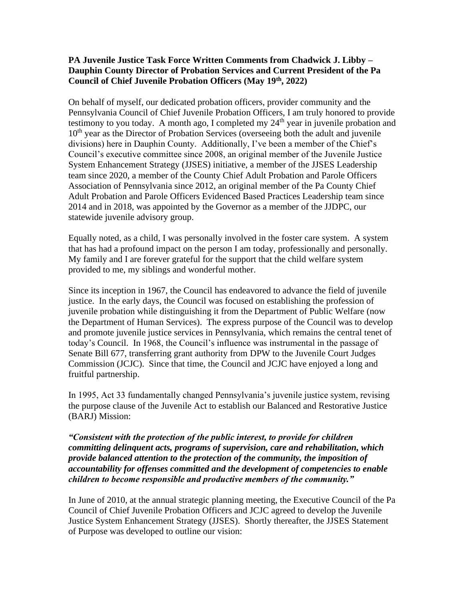## **PA Juvenile Justice Task Force Written Comments from Chadwick J. Libby – Dauphin County Director of Probation Services and Current President of the Pa Council of Chief Juvenile Probation Officers (May 19th, 2022)**

On behalf of myself, our dedicated probation officers, provider community and the Pennsylvania Council of Chief Juvenile Probation Officers, I am truly honored to provide testimony to you today. A month ago, I completed my  $24<sup>th</sup>$  year in juvenile probation and  $10<sup>th</sup>$  year as the Director of Probation Services (overseeing both the adult and juvenile divisions) here in Dauphin County. Additionally, I've been a member of the Chief's Council's executive committee since 2008, an original member of the Juvenile Justice System Enhancement Strategy (JJSES) initiative, a member of the JJSES Leadership team since 2020, a member of the County Chief Adult Probation and Parole Officers Association of Pennsylvania since 2012, an original member of the Pa County Chief Adult Probation and Parole Officers Evidenced Based Practices Leadership team since 2014 and in 2018, was appointed by the Governor as a member of the JJDPC, our statewide juvenile advisory group.

Equally noted, as a child, I was personally involved in the foster care system. A system that has had a profound impact on the person I am today, professionally and personally. My family and I are forever grateful for the support that the child welfare system provided to me, my siblings and wonderful mother.

Since its inception in 1967, the Council has endeavored to advance the field of juvenile justice. In the early days, the Council was focused on establishing the profession of juvenile probation while distinguishing it from the Department of Public Welfare (now the Department of Human Services). The express purpose of the Council was to develop and promote juvenile justice services in Pennsylvania, which remains the central tenet of today's Council. In 1968, the Council's influence was instrumental in the passage of Senate Bill 677, transferring grant authority from DPW to the Juvenile Court Judges Commission (JCJC). Since that time, the Council and JCJC have enjoyed a long and fruitful partnership.

In 1995, Act 33 fundamentally changed Pennsylvania's juvenile justice system, revising the purpose clause of the Juvenile Act to establish our Balanced and Restorative Justice (BARJ) Mission:

*"Consistent with the protection of the public interest, to provide for children committing delinquent acts, programs of supervision, care and rehabilitation, which provide balanced attention to the protection of the community, the imposition of accountability for offenses committed and the development of competencies to enable children to become responsible and productive members of the community."*

In June of 2010, at the annual strategic planning meeting, the Executive Council of the Pa Council of Chief Juvenile Probation Officers and JCJC agreed to develop the Juvenile Justice System Enhancement Strategy (JJSES). Shortly thereafter, the JJSES Statement of Purpose was developed to outline our vision: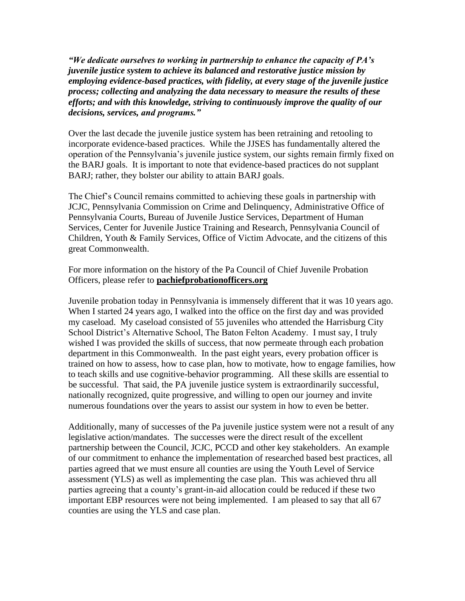*"We dedicate ourselves to working in partnership to enhance the capacity of PA's juvenile justice system to achieve its balanced and restorative justice mission by employing evidence-based practices, with fidelity, at every stage of the juvenile justice process; collecting and analyzing the data necessary to measure the results of these efforts; and with this knowledge, striving to continuously improve the quality of our decisions, services, and programs."*

Over the last decade the juvenile justice system has been retraining and retooling to incorporate evidence-based practices. While the JJSES has fundamentally altered the operation of the Pennsylvania's juvenile justice system, our sights remain firmly fixed on the BARJ goals. It is important to note that evidence-based practices do not supplant BARJ; rather, they bolster our ability to attain BARJ goals.

The Chief's Council remains committed to achieving these goals in partnership with JCJC, Pennsylvania Commission on Crime and Delinquency, Administrative Office of Pennsylvania Courts, Bureau of Juvenile Justice Services, Department of Human Services, Center for Juvenile Justice Training and Research, Pennsylvania Council of Children, Youth & Family Services, Office of Victim Advocate, and the citizens of this great Commonwealth.

For more information on the history of the Pa Council of Chief Juvenile Probation Officers, please refer to **pachiefprobationofficers.org** 

Juvenile probation today in Pennsylvania is immensely different that it was 10 years ago. When I started 24 years ago, I walked into the office on the first day and was provided my caseload. My caseload consisted of 55 juveniles who attended the Harrisburg City School District's Alternative School, The Baton Felton Academy. I must say, I truly wished I was provided the skills of success, that now permeate through each probation department in this Commonwealth. In the past eight years, every probation officer is trained on how to assess, how to case plan, how to motivate, how to engage families, how to teach skills and use cognitive-behavior programming. All these skills are essential to be successful. That said, the PA juvenile justice system is extraordinarily successful, nationally recognized, quite progressive, and willing to open our journey and invite numerous foundations over the years to assist our system in how to even be better.

Additionally, many of successes of the Pa juvenile justice system were not a result of any legislative action/mandates. The successes were the direct result of the excellent partnership between the Council, JCJC, PCCD and other key stakeholders. An example of our commitment to enhance the implementation of researched based best practices, all parties agreed that we must ensure all counties are using the Youth Level of Service assessment (YLS) as well as implementing the case plan. This was achieved thru all parties agreeing that a county's grant-in-aid allocation could be reduced if these two important EBP resources were not being implemented. I am pleased to say that all 67 counties are using the YLS and case plan.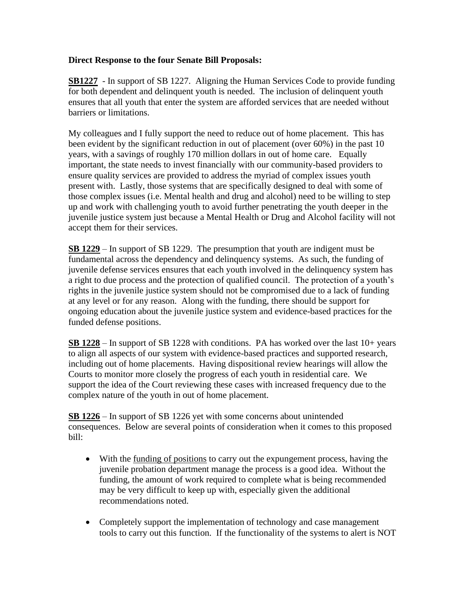## **Direct Response to the four Senate Bill Proposals:**

**SB1227** - In support of SB 1227. Aligning the Human Services Code to provide funding for both dependent and delinquent youth is needed. The inclusion of delinquent youth ensures that all youth that enter the system are afforded services that are needed without barriers or limitations.

My colleagues and I fully support the need to reduce out of home placement. This has been evident by the significant reduction in out of placement (over 60%) in the past 10 years, with a savings of roughly 170 million dollars in out of home care. Equally important, the state needs to invest financially with our community-based providers to ensure quality services are provided to address the myriad of complex issues youth present with. Lastly, those systems that are specifically designed to deal with some of those complex issues (i.e. Mental health and drug and alcohol) need to be willing to step up and work with challenging youth to avoid further penetrating the youth deeper in the juvenile justice system just because a Mental Health or Drug and Alcohol facility will not accept them for their services.

**SB 1229** – In support of SB 1229. The presumption that youth are indigent must be fundamental across the dependency and delinquency systems. As such, the funding of juvenile defense services ensures that each youth involved in the delinquency system has a right to due process and the protection of qualified council. The protection of a youth's rights in the juvenile justice system should not be compromised due to a lack of funding at any level or for any reason. Along with the funding, there should be support for ongoing education about the juvenile justice system and evidence-based practices for the funded defense positions.

**SB 1228** – In support of SB 1228 with conditions. PA has worked over the last 10+ years to align all aspects of our system with evidence-based practices and supported research, including out of home placements. Having dispositional review hearings will allow the Courts to monitor more closely the progress of each youth in residential care. We support the idea of the Court reviewing these cases with increased frequency due to the complex nature of the youth in out of home placement.

**SB 1226** – In support of SB 1226 yet with some concerns about unintended consequences. Below are several points of consideration when it comes to this proposed bill:

- With the funding of positions to carry out the expungement process, having the juvenile probation department manage the process is a good idea. Without the funding, the amount of work required to complete what is being recommended may be very difficult to keep up with, especially given the additional recommendations noted.
- Completely support the implementation of technology and case management tools to carry out this function. If the functionality of the systems to alert is NOT